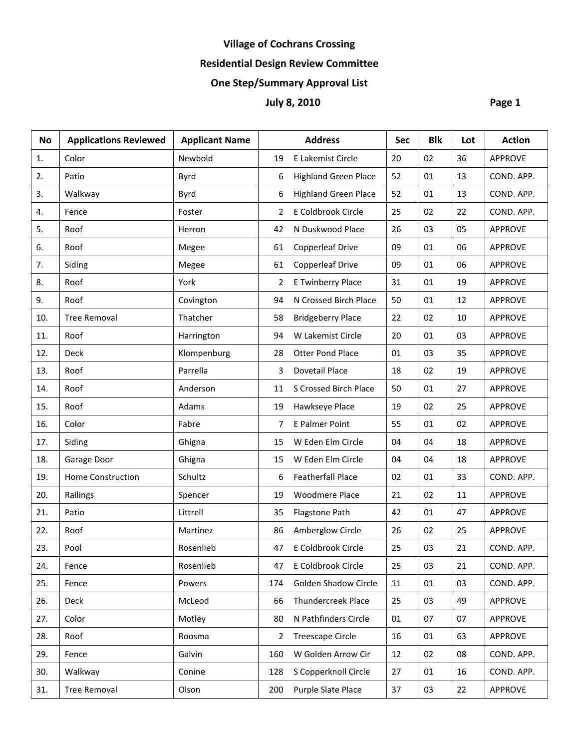# **Village of Cochrans Crossing**

## **Residential Design Review Committee**

## **One Step/Summary Approval List**

## **July 8, 2010 Page 1**

| <b>No</b> | <b>Applications Reviewed</b> | <b>Applicant Name</b> |     | <b>Address</b>              | <b>Sec</b> | <b>Blk</b> | Lot | <b>Action</b>  |
|-----------|------------------------------|-----------------------|-----|-----------------------------|------------|------------|-----|----------------|
| 1.        | Color                        | Newbold               | 19  | E Lakemist Circle           | 20         | 02         | 36  | <b>APPROVE</b> |
| 2.        | Patio                        | Byrd                  | 6   | <b>Highland Green Place</b> | 52         | 01         | 13  | COND. APP.     |
| 3.        | Walkway                      | Byrd                  | 6   | <b>Highland Green Place</b> | 52         | 01         | 13  | COND. APP.     |
| 4.        | Fence                        | Foster                | 2   | E Coldbrook Circle          | 25         | 02         | 22  | COND. APP.     |
| 5.        | Roof                         | Herron                | 42  | N Duskwood Place            | 26         | 03         | 05  | <b>APPROVE</b> |
| 6.        | Roof                         | Megee                 | 61  | <b>Copperleaf Drive</b>     | 09         | 01         | 06  | <b>APPROVE</b> |
| 7.        | Siding                       | Megee                 | 61  | <b>Copperleaf Drive</b>     | 09         | 01         | 06  | <b>APPROVE</b> |
| 8.        | Roof                         | York                  | 2   | E Twinberry Place           | 31         | 01         | 19  | <b>APPROVE</b> |
| 9.        | Roof                         | Covington             | 94  | N Crossed Birch Place       | 50         | 01         | 12  | <b>APPROVE</b> |
| 10.       | <b>Tree Removal</b>          | Thatcher              | 58  | <b>Bridgeberry Place</b>    | 22         | 02         | 10  | <b>APPROVE</b> |
| 11.       | Roof                         | Harrington            | 94  | W Lakemist Circle           | 20         | 01         | 03  | <b>APPROVE</b> |
| 12.       | <b>Deck</b>                  | Klompenburg           | 28  | <b>Otter Pond Place</b>     | 01         | 03         | 35  | <b>APPROVE</b> |
| 13.       | Roof                         | Parrella              | 3   | Dovetail Place              | 18         | 02         | 19  | <b>APPROVE</b> |
| 14.       | Roof                         | Anderson              | 11  | S Crossed Birch Place       | 50         | 01         | 27  | <b>APPROVE</b> |
| 15.       | Roof                         | Adams                 | 19  | Hawkseye Place              | 19         | 02         | 25  | <b>APPROVE</b> |
| 16.       | Color                        | Fabre                 | 7   | E Palmer Point              | 55         | 01         | 02  | <b>APPROVE</b> |
| 17.       | Siding                       | Ghigna                | 15  | W Eden Elm Circle           | 04         | 04         | 18  | <b>APPROVE</b> |
| 18.       | Garage Door                  | Ghigna                | 15  | W Eden Elm Circle           | 04         | 04         | 18  | <b>APPROVE</b> |
| 19.       | Home Construction            | Schultz               | 6   | <b>Featherfall Place</b>    | 02         | 01         | 33  | COND. APP.     |
| 20.       | Railings                     | Spencer               | 19  | <b>Woodmere Place</b>       | 21         | 02         | 11  | <b>APPROVE</b> |
| 21.       | Patio                        | Littrell              | 35  | Flagstone Path              | 42         | 01         | 47  | <b>APPROVE</b> |
| 22.       | Roof                         | Martinez              | 86  | Amberglow Circle            | 26         | 02         | 25  | <b>APPROVE</b> |
| 23.       | Pool                         | Rosenlieb             | 47  | E Coldbrook Circle          | 25         | 03         | 21  | COND. APP.     |
| 24.       | Fence                        | Rosenlieb             | 47  | E Coldbrook Circle          | 25         | 03         | 21  | COND. APP.     |
| 25.       | Fence                        | Powers                | 174 | <b>Golden Shadow Circle</b> | 11         | 01         | 03  | COND. APP.     |
| 26.       | Deck                         | McLeod                | 66  | Thundercreek Place          | 25         | 03         | 49  | <b>APPROVE</b> |
| 27.       | Color                        | Motley                | 80  | N Pathfinders Circle        | 01         | 07         | 07  | <b>APPROVE</b> |
| 28.       | Roof                         | Roosma                | 2   | <b>Treescape Circle</b>     | 16         | 01         | 63  | <b>APPROVE</b> |
| 29.       | Fence                        | Galvin                | 160 | W Golden Arrow Cir          | 12         | 02         | 08  | COND. APP.     |
| 30.       | Walkway                      | Conine                | 128 | S Copperknoll Circle        | 27         | 01         | 16  | COND. APP.     |
| 31.       | <b>Tree Removal</b>          | Olson                 | 200 | Purple Slate Place          | 37         | 03         | 22  | <b>APPROVE</b> |